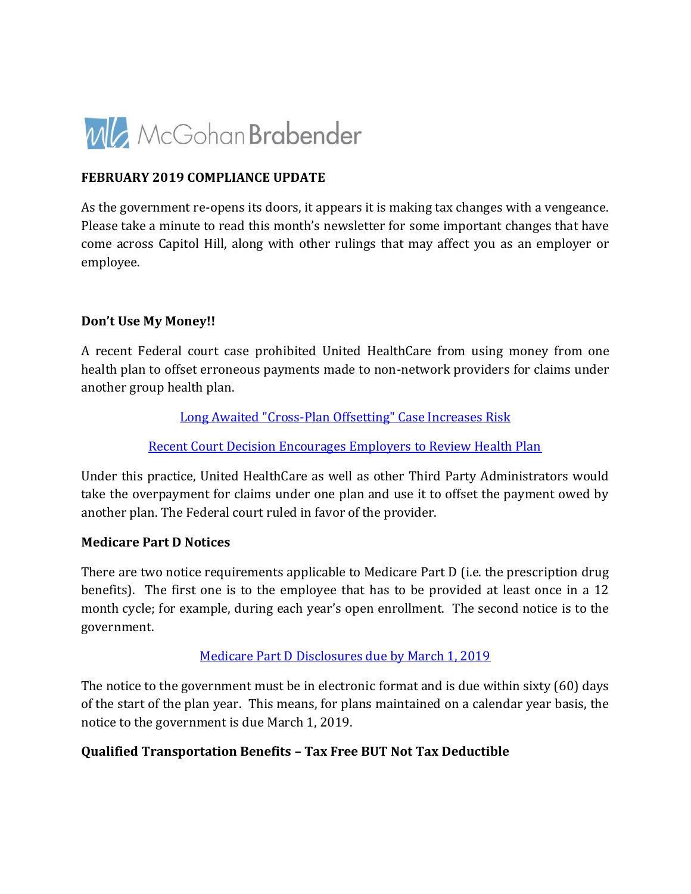

### **FEBRUARY 2019 COMPLIANCE UPDATE**

As the government re-opens its doors, it appears it is making tax changes with a vengeance. Please take a minute to read this month's newsletter for some important changes that have come across Capitol Hill, along with other rulings that may affect you as an employer or employee.

#### **Don't Use My Money!!**

A recent Federal court case prohibited United HealthCare from using money from one health plan to offset erroneous payments made to non-network providers for claims under another group health plan.

[Long Awaited "Cross-Plan Offsetting" Case Increases Risk](https://www.quarles.com/publications/long-awaited-cross-plan-offsetting-case-increases-risk-for-employers-insurers/)

[Recent Court Decision Encourages Employers to Review Health Plan](https://www.calfee.com/newsletters-45)

Under this practice, United HealthCare as well as other Third Party Administrators would take the overpayment for claims under one plan and use it to offset the payment owed by another plan. The Federal court ruled in favor of the provider.

#### **Medicare Part D Notices**

There are two notice requirements applicable to Medicare Part D (i.e. the prescription drug benefits). The first one is to the employee that has to be provided at least once in a 12 month cycle; for example, during each year's open enrollment. The second notice is to the government.

### [Medicare Part D Disclosures due by March 1, 2019](https://cowdenassociates.com/wp-content/uploads/2019/02/Medicare-Part-D-DIsclosures-due-by-March-1-2019-for-Calendar-Year-Plans.pdf)

The notice to the government must be in electronic format and is due within sixty (60) days of the start of the plan year. This means, for plans maintained on a calendar year basis, the notice to the government is due March 1, 2019.

### **Qualified Transportation Benefits – Tax Free BUT Not Tax Deductible**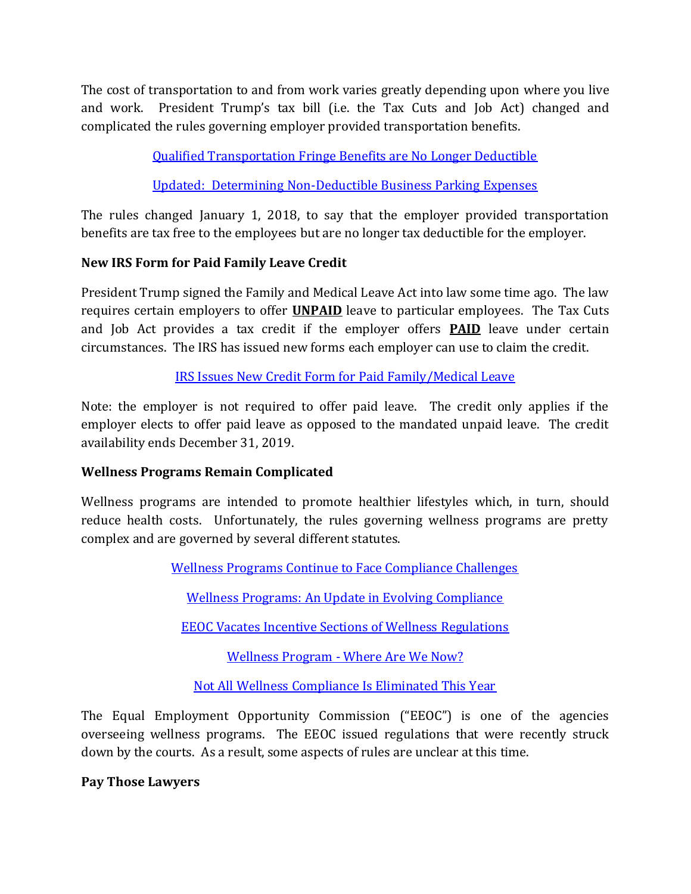The cost of transportation to and from work varies greatly depending upon where you live and work. President Trump's tax bill (i.e. the Tax Cuts and Job Act) changed and complicated the rules governing employer provided transportation benefits.

[Qualified Transportation Fringe Benefits are No Longer Deductible](https://www.withum.com/resources/qualified-transportation-fringe-benefits-are-no-longer-deductible/)

[Updated: Determining Non-Deductible Business Parking Expenses](https://www.eisneramper.com/fringe-ubti-np-blog-0119/)

The rules changed January 1, 2018, to say that the employer provided transportation benefits are tax free to the employees but are no longer tax deductible for the employer.

# **New IRS Form for Paid Family Leave Credit**

President Trump signed the Family and Medical Leave Act into law some time ago. The law requires certain employers to offer **UNPAID** leave to particular employees. The Tax Cuts and Job Act provides a tax credit if the employer offers **PAID** leave under certain circumstances. The IRS has issued new forms each employer can use to claim the credit.

[IRS Issues New Credit Form for Paid Family/Medical Leave](https://www.vonbriesen.com/legal-news/3687/irs-issues-new-credit-form-for-paid-family-medical-leave)

Note: the employer is not required to offer paid leave. The credit only applies if the employer elects to offer paid leave as opposed to the mandated unpaid leave. The credit availability ends December 31, 2019.

# **Wellness Programs Remain Complicated**

Wellness programs are intended to promote healthier lifestyles which, in turn, should reduce health costs. Unfortunately, the rules governing wellness programs are pretty complex and are governed by several different statutes.

[Wellness Programs Continue to Face Compliance Challenges](https://www.benefitslawadvisor.com/2019/02/articles/employee-health-welfare-plans/wellness-programs-continue-to-face-compliance-challenges/)

[Wellness Programs: An Update in Evolving Compliance](https://www.poynerspruill.com/Publications/Wellness-Programs-_-An-Update-in-Evolving-Compliance)

[EEOC Vacates Incentive Sections of Wellness Regulations](https://www.seyfarth.com/publications/OMM012819-EB)

[Wellness Program - Where Are We Now?](https://buck.com/wellness-program-compliance-where-are-we-now/)

[Not All Wellness Compliance Is Eliminated This Year](https://frenkelbenefits.com/blog/2019/01/22/not-all-wellness-compliance-is-eliminated-this-year/)

The Equal Employment Opportunity Commission ("EEOC") is one of the agencies overseeing wellness programs. The EEOC issued regulations that were recently struck down by the courts. As a result, some aspects of rules are unclear at this time.

**Pay Those Lawyers**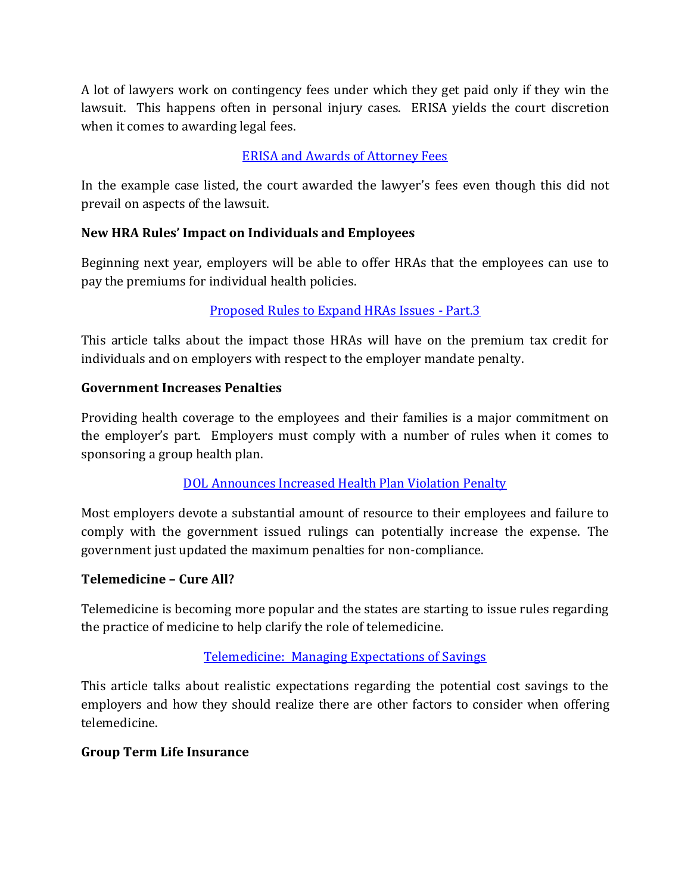A lot of lawyers work on contingency fees under which they get paid only if they win the lawsuit. This happens often in personal injury cases. ERISA yields the court discretion when it comes to awarding legal fees.

### [ERISA and Awards of Attorney Fees](https://www.boomerisablog.com/2019/02/06/erisa-and-awards-of-attorney-fees-so-what-does-some-degree-of-success-on-the-merits-really-mean/)

In the example case listed, the court awarded the lawyer's fees even though this did not prevail on aspects of the lawsuit.

### **New HRA Rules' Impact on Individuals and Employees**

Beginning next year, employers will be able to offer HRAs that the employees can use to pay the premiums for individual health policies.

# [Proposed Rules to Expand HRAs Issues - Part.3](http://www.boutwellfay.com/wp-content/uploads/2019/02/Proposed-Rules-to-Expand-HRAs-Issues-Part-3.pdf)

This article talks about the impact those HRAs will have on the premium tax credit for individuals and on employers with respect to the employer mandate penalty.

### **Government Increases Penalties**

Providing health coverage to the employees and their families is a major commitment on the employer's part. Employers must comply with a number of rules when it comes to sponsoring a group health plan.

### [DOL Announces Increased Health Plan Violation Penalty](https://s11277.pcdn.co/wp-content/uploads/2015/05/Compliance-Alert_DOL-Increases-Penalties-for-Health-Plan-Violations_2.1.19_FINAL.pdf)

Most employers devote a substantial amount of resource to their employees and failure to comply with the government issued rulings can potentially increase the expense. The government just updated the maximum penalties for non-compliance.

### **Telemedicine – Cure All?**

Telemedicine is becoming more popular and the states are starting to issue rules regarding the practice of medicine to help clarify the role of telemedicine.

### [Telemedicine: Managing Expectations of Savings](https://www.conradsiegel.com/telemedicine-managing-expectations-of-savings/)

This article talks about realistic expectations regarding the potential cost savings to the employers and how they should realize there are other factors to consider when offering telemedicine.

### **Group Term Life Insurance**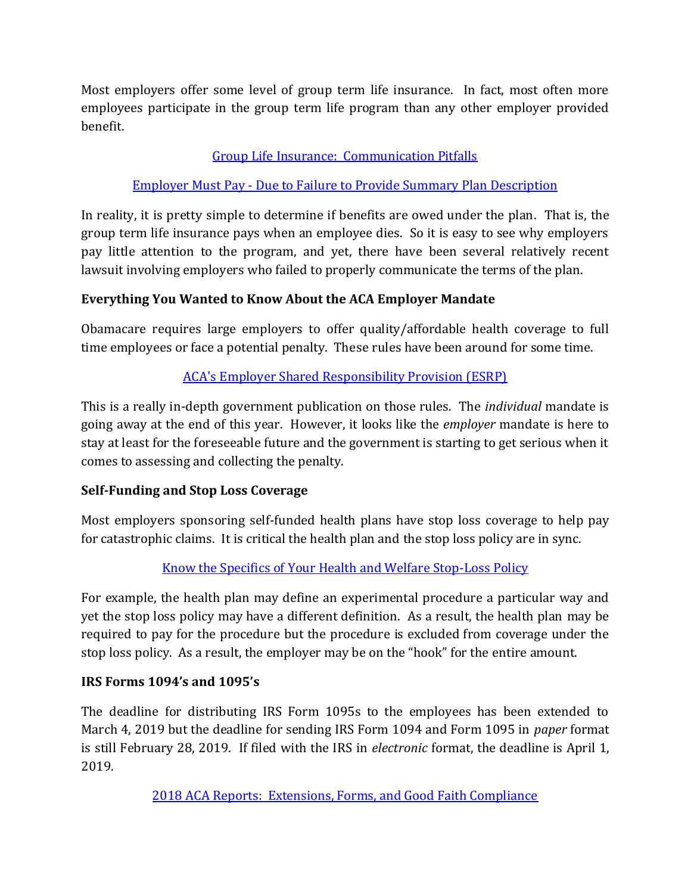Most employers offer some level of group term life insurance. In fact, most often more employees participate in the group term life program than any other employer provided benefit.

### [Group Life Insurance: Communication Pitfalls](http://www.kellerbenefit.com/news/group-life-insurance-communication-pitfalls/)

### [Employer Must Pay - Due to Failure to Provide Summary Plan Description](https://www.lifeanddisabilitylaw.com/your-erisa-watch-employer-must-pay-dependent-life-insurance-benefits-to-employee-due-to-failure-to-provide-summary-plan-description/)

In reality, it is pretty simple to determine if benefits are owed under the plan. That is, the group term life insurance pays when an employee dies. So it is easy to see why employers pay little attention to the program, and yet, there have been several relatively recent lawsuit involving employers who failed to properly communicate the terms of the plan.

### **Everything You Wanted to Know About the ACA Employer Mandate**

Obamacare requires large employers to offer quality/affordable health coverage to full time employees or face a potential penalty. These rules have been around for some time.

# [ACA's Employer Shared Responsibility Provision \(ESRP\)](https://crsreports.congress.gov/product/pdf/R/R45455)

This is a really in-depth government publication on those rules. The *individual* mandate is going away at the end of this year. However, it looks like the *employer* mandate is here to stay at least for the foreseeable future and the government is starting to get serious when it comes to assessing and collecting the penalty.

# **Self-Funding and Stop Loss Coverage**

Most employers sponsoring self-funded health plans have stop loss coverage to help pay for catastrophic claims. It is critical the health plan and the stop loss policy are in sync.

# [Know the Specifics of Your Health and Welfare Stop-Loss Policy](http://us.milliman.com/uploadedFiles/insight/Periodicals/mer/know-specfics-stop-loss-policy.pdf)

For example, the health plan may define an experimental procedure a particular way and yet the stop loss policy may have a different definition. As a result, the health plan may be required to pay for the procedure but the procedure is excluded from coverage under the stop loss policy. As a result, the employer may be on the "hook" for the entire amount.

### **IRS Forms 1094's and 1095's**

The deadline for distributing IRS Form 1095s to the employees has been extended to March 4, 2019 but the deadline for sending IRS Form 1094 and Form 1095 in *paper* format is still February 28, 2019. If filed with the IRS in *electronic* format, the deadline is April 1, 2019.

[2018 ACA Reports: Extensions, Forms, and Good Faith Compliance](https://www.vonbriesen.com/legal-news/3673/2018-aca-reporting-filing-extensions-forms-changes-and-good-faith-compliance)